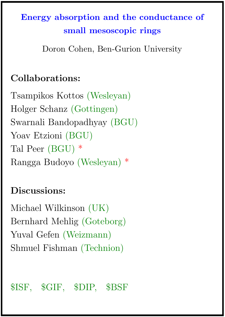# Energy absorption and the conductance of small mesoscopic rings

Doron Cohen, Ben-Gurion University

## Collaborations:

Tsampikos Kottos (Wesleyan) Holger Schanz (Gottingen) Swarnali Bandopadhyay (BGU) Yoav Etzioni (BGU) Tal Peer (BGU) \* Rangga Budoyo (Wesleyan) \*

## Discussions:

Michael Wilkinson (UK) Bernhard Mehlig (Goteborg) Yuval Gefen (Weizmann) Shmuel Fishman (Technion)

\$ISF, \$GIF, \$DIP, \$BSF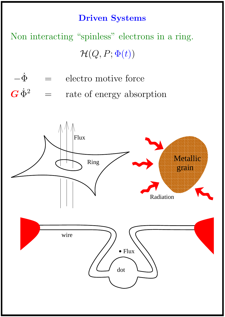#### Driven Systems

Non interacting "spinless" electrons in a ring.  $\mathcal{H}(Q, P; \Phi(t))$ 

- $-\dot{\Phi}$  = electro motive force
- $\boldsymbol{G}\,\dot{\Phi}^2$ = rate of energy absorption

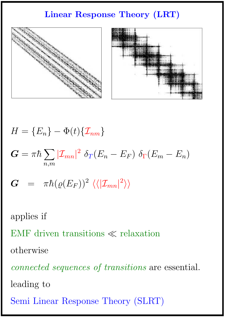## Linear Response Theory (LRT)



 $H = \{E_n\} - \Phi(t)\{\mathcal{I}_{nm}\}$  $\boldsymbol{G} = \pi \hbar \sum |\mathcal{I}_{mn}|^2 \; \delta_T (E_n - E_F) \; \delta_\Gamma (E_m - E_n)$  $n,m$  $\bm{G} \;\; = \;\; \pi \hbar (\varrho(E_F))^2 \; \langle \langle | \mathcal{I}_{mn} |^2 \rangle \rangle$ 

applies if

EMF driven transitions  $\ll$  relaxation

otherwise

connected sequences of transitions are essential.

leading to

Semi Linear Response Theory (SLRT)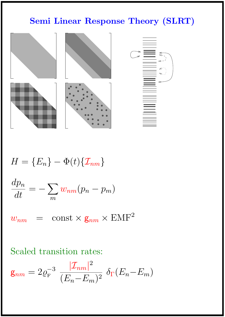## Semi Linear Response Theory (SLRT)



$$
H = \{E_n\} - \Phi(t)\{\mathcal{I}_{nm}\}
$$
  

$$
\frac{dp_n}{dt} = -\sum_m w_{nm}(p_n - p_m)
$$
  

$$
w_{nm} = \text{const} \times \mathbf{g}_{nm} \times \text{EMF}^2
$$

## Scaled transition rates:

$$
\mathbf{g}_{nm} = 2\varrho_{\rm F}^{-3} \frac{|\mathcal{I}_{nm}|^2}{(E_n - E_m)^2} \delta_{\Gamma}(E_n - E_m)
$$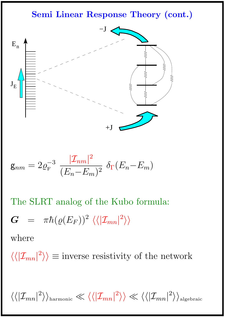Semi Linear Response Theory (cont.)



$$
\mathbf{g}_{nm} = 2\varrho_{\rm F}^{-3} \frac{|\mathcal{I}_{nm}|^2}{(E_n - E_m)^2} \delta_{\Gamma}(E_n - E_m)
$$

The SLRT analog of the Kubo formula:

$$
G = \pi \hbar (\varrho (E_F))^2 \langle \langle |{\cal I}_{mn}|^2 \rangle \rangle
$$

where

 $\langle \langle | \mathcal{I}_{mn} |^2 \rangle \rangle \equiv$  inverse resistivity of the network

 $\langle\langle |{\cal I}_{mn}|^2\rangle\rangle_{\rm harmonic}\ll\langle\langle |{\cal I}_{mn}|^2\rangle\rangle\ll\langle\langle |{\cal I}_{mn}|^2\rangle\rangle_{\rm algebraic}$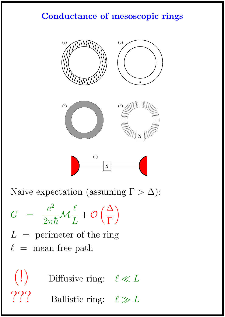## Conductance of mesoscopic rings



Naive expectation (assuming  $\Gamma > \Delta$ ):

$$
G = \frac{e^2}{2\pi\hbar} \mathcal{M}\frac{\ell}{L} + \mathcal{O}\left(\frac{\Delta}{\Gamma}\right)
$$

- $L =$  perimeter of the ring
- $\ell$  = mean free path

 $\left( \begin{array}{c} \cdot \\ \cdot \end{array} \right)$  Diffusive ring:  $\ell \ll L$ Ballistic ring:  $\ell \gg L$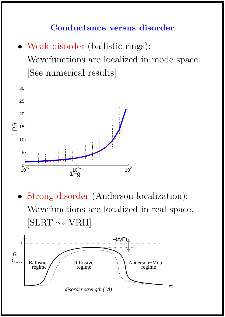### Conductance versus disorder

• Weak disorder (ballistic rings): Wavefunctions are localized in mode space. [See numerical results]



• Strong disorder (Anderson localization): Wavefunctions are localized in real space.  $[SLRT \leadsto VRH]$ 

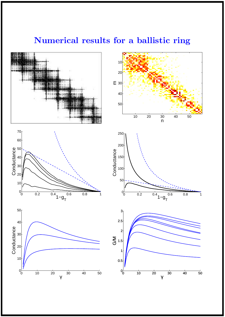#### $\frac{1}{30}$ ا⊦80 ⊟ 10 20 30 40 50 10 20 40 50  $0$  0.2  $0.4$  1 −  $9<sub>T</sub>$  0.6 0.8 1  $0_0$ 10 20∦ 30 40 Conductance<br>  $\frac{3}{2}$ <br>  $\frac{3}{2}$ 60  $70<sub>1</sub>$  $0.2$   $0.4$   $1-9$ <sub>T</sub>  $0.6$   $0.8$  1  $0_0^L$ 50 100 150 200 250 Conductance 30  $40<sup>1</sup>$  $50<sub>5</sub>$ 2 2.5  $3<sub>1</sub>$

### Numerical results for a ballistic ring



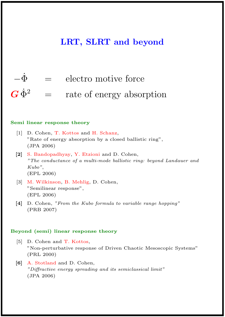#### LRT, SLRT and beyond



#### Semi linear response theory

- [1] D. Cohen, T. Kottos and H. Schanz, "Rate of energy absorption by a closed ballistic ring", (JPA 2006)
- [2] S. Bandopadhyay, Y. Etzioni and D. Cohen, "The conductance of a multi-mode ballistic ring: beyond Landauer and Kubo", (EPL 2006)
- [3] M. Wilkinson, B. Mehlig, D. Cohen, "Semilinear response", (EPL 2006)
- [4] D. Cohen, "From the Kubo formula to variable range hopping" (PRB 2007)

#### Beyond (semi) linear response theory

- [5] D. Cohen and T. Kottos, "Non-perturbative response of Driven Chaotic Mesoscopic Systems" (PRL 2000)
- [6] A. Stotland and D. Cohen, "Diffractive energy spreading and its semiclassical limit" (JPA 2006)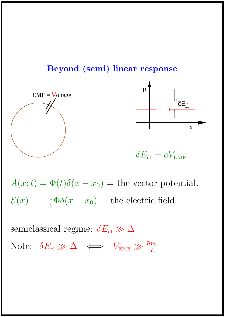





 $\delta E_{\rm cl} = eV_{\rm EMF}$ 

 $A(x;t) = \Phi(t)\delta(x-x_0) =$  the vector potential.  $\mathcal{E}(x) = -\frac{1}{c}$  $\frac{1}{c}\dot{\Phi}\delta(x-x_0)$  = the electric field.

semiclassical regime:  $\delta E_{\rm cl} \gg \Delta$ Note:  $\delta E_{\rm cl} \gg \Delta \iff V_{\text{\tiny EMF}} \gg \frac{\hbar v_{\rm E}}{L}$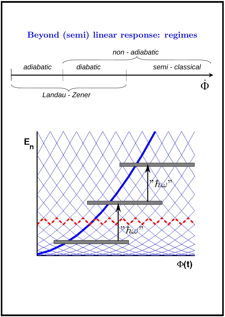### Beyond (semi) linear response: regimes





 $\Phi(t)$